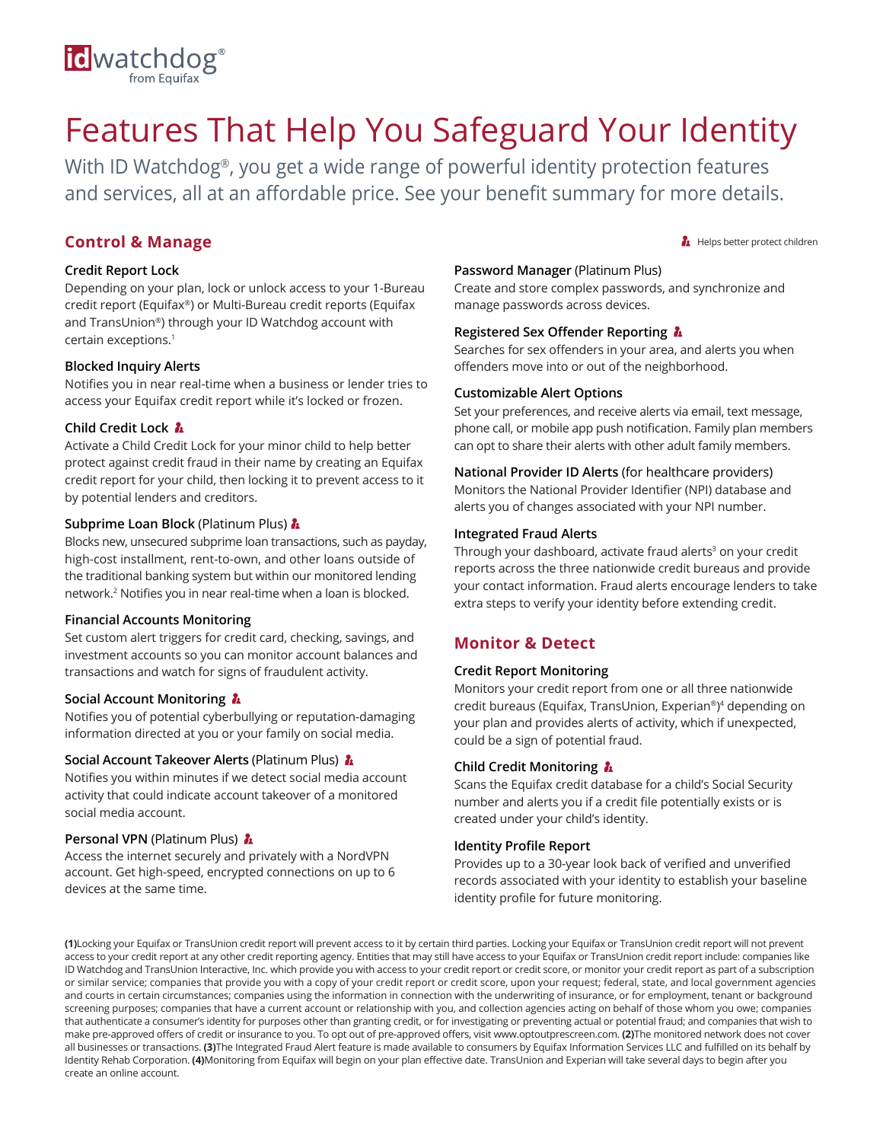# id watchdog<sup>®</sup>

## Features That Help You Safeguard Your Identity

With ID Watchdog®, you get a wide range of powerful identity protection features and services, all at an affordable price. See your benefit summary for more details.

## **Control & Manage**

## **Credit Report Lock**

Depending on your plan, lock or unlock access to your 1-Bureau credit report (Equifax®) or Multi-Bureau credit reports (Equifax and TransUnion®) through your ID Watchdog account with certain exceptions.<sup>1</sup>

## **Blocked Inquiry Alerts**

Notifies you in near real-time when a business or lender tries to access your Equifax credit report while it's locked or frozen.

## **Child Credit Lock**

Activate a Child Credit Lock for your minor child to help better protect against credit fraud in their name by creating an Equifax credit report for your child, then locking it to prevent access to it by potential lenders and creditors.

## **Subprime Loan Block** (Platinum Plus)  $\hbar$

Blocks new, unsecured subprime loan transactions, such as payday, high-cost installment, rent-to-own, and other loans outside of the traditional banking system but within our monitored lending network.<sup>2</sup> Notifies you in near real-time when a loan is blocked.

## **Financial Accounts Monitoring**

Set custom alert triggers for credit card, checking, savings, and investment accounts so you can monitor account balances and transactions and watch for signs of fraudulent activity.

## **Social Account Monitoring**

Notifies you of potential cyberbullying or reputation-damaging information directed at you or your family on social media.

## **Social Account Takeover Alerts (Platinum Plus) &**

Notifies you within minutes if we detect social media account activity that could indicate account takeover of a monitored social media account.

## **Personal VPN** (Platinum Plus) **A**

Access the internet securely and privately with a NordVPN account. Get high-speed, encrypted connections on up to 6 devices at the same time.

## **Password Manager** (Platinum Plus)

Create and store complex passwords, and synchronize and manage passwords across devices.

Helps better protect children

## **Registered Sex Offender Reporting**

Searches for sex offenders in your area, and alerts you when offenders move into or out of the neighborhood.

## **Customizable Alert Options**

Set your preferences, and receive alerts via email, text message, phone call, or mobile app push notification. Family plan members can opt to share their alerts with other adult family members.

## **National Provider ID Alerts** (for healthcare providers) Monitors the National Provider Identifier (NPI) database and alerts you of changes associated with your NPI number.

## **Integrated Fraud Alerts**

Through your dashboard, activate fraud alerts<sup>3</sup> on your credit reports across the three nationwide credit bureaus and provide your contact information. Fraud alerts encourage lenders to take extra steps to verify your identity before extending credit.

## **Monitor & Detect**

## **Credit Report Monitoring**

Monitors your credit report from one or all three nationwide credit bureaus (Equifax, TransUnion, Experian®) <sup>4</sup> depending on your plan and provides alerts of activity, which if unexpected, could be a sign of potential fraud.

## **Child Credit Monitoring**

Scans the Equifax credit database for a child's Social Security number and alerts you if a credit file potentially exists or is created under your child's identity.

## **Identity Profile Report**

Provides up to a 30-year look back of verified and unverified records associated with your identity to establish your baseline identity profile for future monitoring.

**(1)**Locking your Equifax or TransUnion credit report will prevent access to it by certain third parties. Locking your Equifax or TransUnion credit report will not prevent access to your credit report at any other credit reporting agency. Entities that may still have access to your Equifax or TransUnion credit report include: companies like ID Watchdog and TransUnion Interactive, Inc. which provide you with access to your credit report or credit score, or monitor your credit report as part of a subscription or similar service; companies that provide you with a copy of your credit report or credit score, upon your request; federal, state, and local government agencies and courts in certain circumstances; companies using the information in connection with the underwriting of insurance, or for employment, tenant or background screening purposes; companies that have a current account or relationship with you, and collection agencies acting on behalf of those whom you owe; companies that authenticate a consumer's identity for purposes other than granting credit, or for investigating or preventing actual or potential fraud; and companies that wish to make pre-approved offers of credit or insurance to you. To opt out of pre-approved offers, visit www.optoutprescreen.com. **(2)**The monitored network does not cover all businesses or transactions. **(3)**The Integrated Fraud Alert feature is made available to consumers by Equifax Information Services LLC and fulfilled on its behalf by Identity Rehab Corporation. **(4)**Monitoring from Equifax will begin on your plan effective date. TransUnion and Experian will take several days to begin after you create an online account.